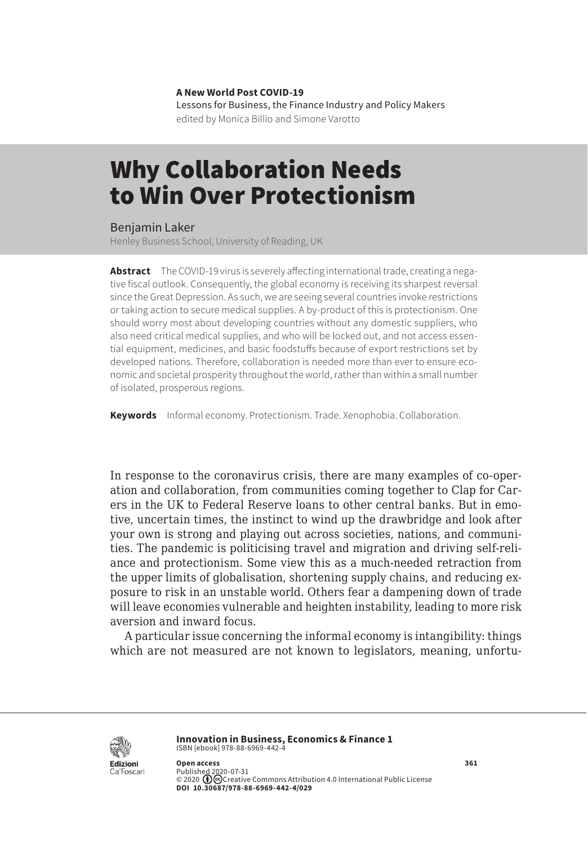**A New World Post COVID-19** Lessons for Business, the Finance Industry and Policy Makers edited by Monica Billio and Simone Varotto

## Why Collaboration Needs to Win Over Protectionism

Benjamin Laker

Henley Business School, University of Reading, UK

**Abstract** The COVID-19 virus is severely affecting international trade, creating a negative fiscal outlook. Consequently, the global economy is receiving its sharpest reversal since the Great Depression. As such, we are seeing several countries invoke restrictions or taking action to secure medical supplies. A by-product of this is protectionism. One should worry most about developing countries without any domestic suppliers, who also need critical medical supplies, and who will be locked out, and not access essential equipment, medicines, and basic foodstuffs because of export restrictions set by developed nations. Therefore, collaboration is needed more than ever to ensure economic and societal prosperity throughout the world, rather than within a small number of isolated, prosperous regions.

**Keywords** Informal economy. Protectionism. Trade. Xenophobia. Collaboration.

In response to the coronavirus crisis, there are many examples of co-operation and collaboration, from communities coming together to Clap for Carers in the UK to Federal Reserve loans to other central banks. But in emotive, uncertain times, the instinct to wind up the drawbridge and look after your own is strong and playing out across societies, nations, and communities. The pandemic is politicising travel and migration and driving self-reliance and protectionism. Some view this as a much-needed retraction from the upper limits of globalisation, shortening supply chains, and reducing exposure to risk in an unstable world. Others fear a dampening down of trade will leave economies vulnerable and heighten instability, leading to more risk aversion and inward focus.

A particular issue concerning the informal economy is intangibility: things which are not measured are not known to legislators, meaning, unfortu-



**Innovation in Business, Economics & Finance 1** ISBN [ebook] 978-88-6969-442-4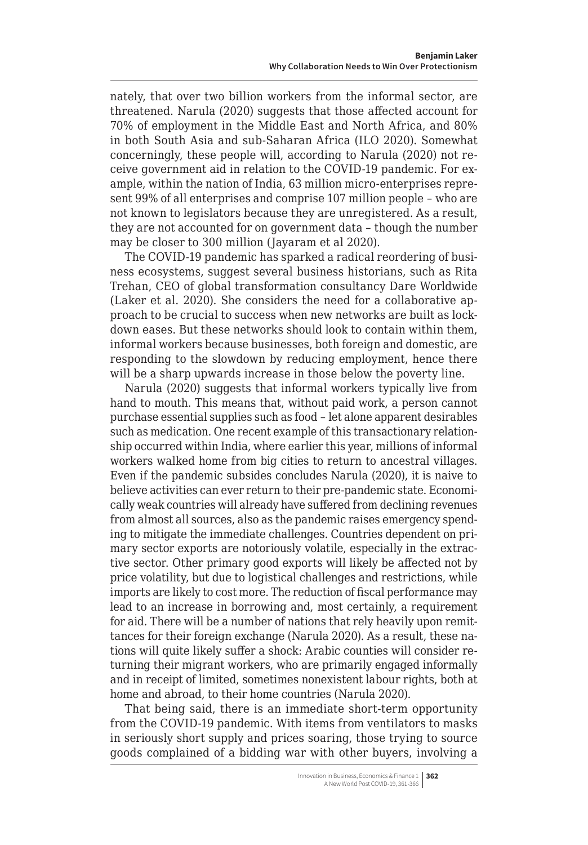nately, that over two billion workers from the informal sector, are threatened. Narula (2020) suggests that those affected account for 70% of employment in the Middle East and North Africa, and 80% in both South Asia and sub-Saharan Africa (ILO 2020). Somewhat concerningly, these people will, according to Narula (2020) not receive government aid in relation to the COVID-19 pandemic. For example, within the nation of India, 63 million micro-enterprises represent 99% of all enterprises and comprise 107 million people – who are not known to legislators because they are unregistered. As a result, they are not accounted for on government data – though the number may be closer to 300 million (Jayaram et al 2020).

The COVID-19 pandemic has sparked a radical reordering of business ecosystems, suggest several business historians, such as Rita Trehan, CEO of global transformation consultancy Dare Worldwide (Laker et al. 2020). She considers the need for a collaborative approach to be crucial to success when new networks are built as lockdown eases. But these networks should look to contain within them, informal workers because businesses, both foreign and domestic, are responding to the slowdown by reducing employment, hence there will be a sharp upwards increase in those below the poverty line.

Narula (2020) suggests that informal workers typically live from hand to mouth. This means that, without paid work, a person cannot purchase essential supplies such as food – let alone apparent desirables such as medication. One recent example of this transactionary relationship occurred within India, where earlier this year, millions of informal workers walked home from big cities to return to ancestral villages. Even if the pandemic subsides concludes Narula (2020), it is naive to believe activities can ever return to their pre-pandemic state. Economically weak countries will already have suffered from declining revenues from almost all sources, also as the pandemic raises emergency spending to mitigate the immediate challenges. Countries dependent on primary sector exports are notoriously volatile, especially in the extractive sector. Other primary good exports will likely be affected not by price volatility, but due to logistical challenges and restrictions, while imports are likely to cost more. The reduction of fiscal performance may lead to an increase in borrowing and, most certainly, a requirement for aid. There will be a number of nations that rely heavily upon remittances for their foreign exchange (Narula 2020). As a result, these nations will quite likely suffer a shock: Arabic counties will consider returning their migrant workers, who are primarily engaged informally and in receipt of limited, sometimes nonexistent labour rights, both at home and abroad, to their home countries (Narula 2020).

That being said, there is an immediate short-term opportunity from the COVID-19 pandemic. With items from ventilators to masks in seriously short supply and prices soaring, those trying to source goods complained of a bidding war with other buyers, involving a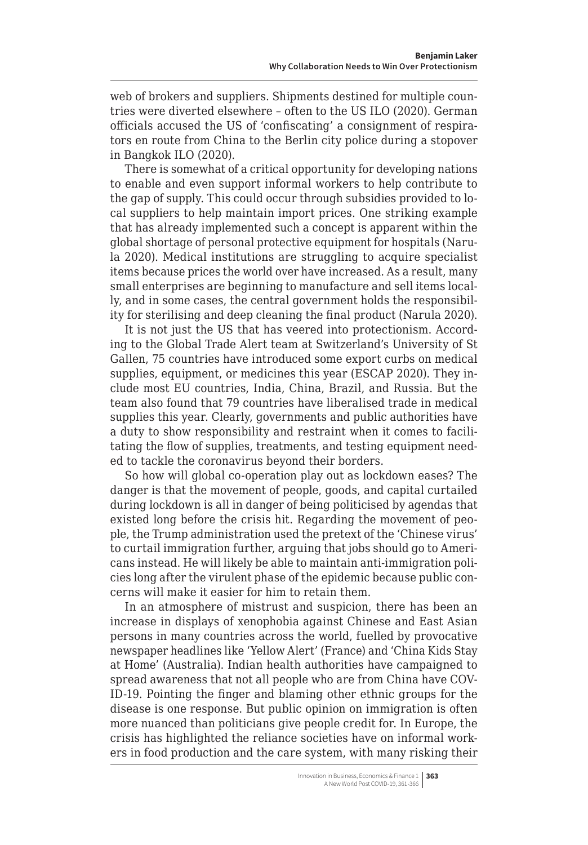web of brokers and suppliers. Shipments destined for multiple countries were diverted elsewhere – often to the US ILO (2020). German officials accused the US of 'confiscating' a consignment of respirators en route from China to the Berlin city police during a stopover in Bangkok ILO (2020).

There is somewhat of a critical opportunity for developing nations to enable and even support informal workers to help contribute to the gap of supply. This could occur through subsidies provided to local suppliers to help maintain import prices. One striking example that has already implemented such a concept is apparent within the global shortage of personal protective equipment for hospitals (Narula 2020). Medical institutions are struggling to acquire specialist items because prices the world over have increased. As a result, many small enterprises are beginning to manufacture and sell items locally, and in some cases, the central government holds the responsibility for sterilising and deep cleaning the final product (Narula 2020).

It is not just the US that has veered into protectionism. According to the Global Trade Alert team at Switzerland's University of St Gallen, 75 countries have introduced some export curbs on medical supplies, equipment, or medicines this year (ESCAP 2020). They include most EU countries, India, China, Brazil, and Russia. But the team also found that 79 countries have liberalised trade in medical supplies this year. Clearly, governments and public authorities have a duty to show responsibility and restraint when it comes to facilitating the flow of supplies, treatments, and testing equipment needed to tackle the coronavirus beyond their borders.

So how will global co-operation play out as lockdown eases? The danger is that the movement of people, goods, and capital curtailed during lockdown is all in danger of being politicised by agendas that existed long before the crisis hit. Regarding the movement of people, the Trump administration used the pretext of the 'Chinese virus' to curtail immigration further, arguing that jobs should go to Americans instead. He will likely be able to maintain anti-immigration policies long after the virulent phase of the epidemic because public concerns will make it easier for him to retain them.

In an atmosphere of mistrust and suspicion, there has been an increase in displays of xenophobia against Chinese and East Asian persons in many countries across the world, fuelled by provocative newspaper headlines like 'Yellow Alert' (France) and 'China Kids Stay at Home' (Australia). Indian health authorities have campaigned to spread awareness that not all people who are from China have COV-ID-19. Pointing the finger and blaming other ethnic groups for the disease is one response. But public opinion on immigration is often more nuanced than politicians give people credit for. In Europe, the crisis has highlighted the reliance societies have on informal workers in food production and the care system, with many risking their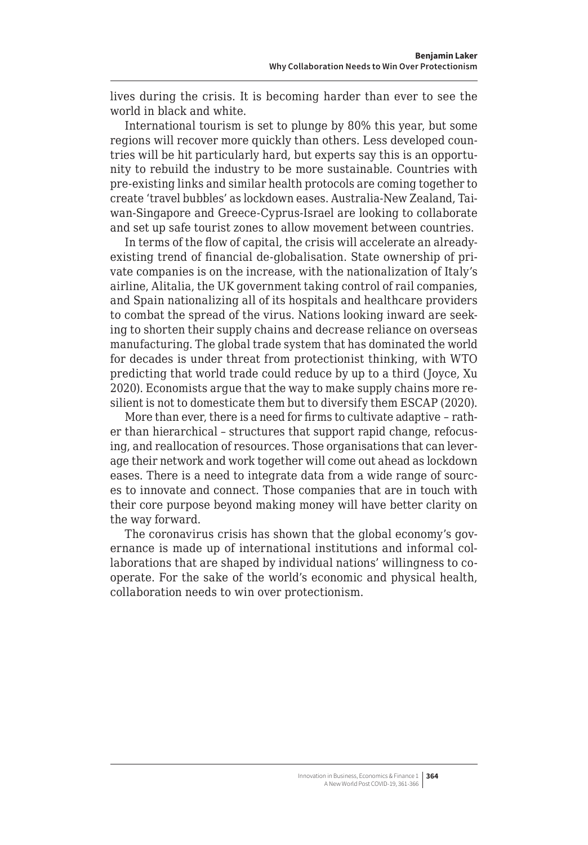lives during the crisis. It is becoming harder than ever to see the world in black and white.

International tourism is set to plunge by 80% this year, but some regions will recover more quickly than others. Less developed countries will be hit particularly hard, but experts say this is an opportunity to rebuild the industry to be more sustainable. Countries with pre-existing links and similar health protocols are coming together to create 'travel bubbles' as lockdown eases. Australia-New Zealand, Taiwan-Singapore and Greece-Cyprus-Israel are looking to collaborate and set up safe tourist zones to allow movement between countries.

In terms of the flow of capital, the crisis will accelerate an alreadyexisting trend of financial de-globalisation. State ownership of private companies is on the increase, with the nationalization of Italy's airline, Alitalia, the UK government taking control of rail companies, and Spain nationalizing all of its hospitals and healthcare providers to combat the spread of the virus. Nations looking inward are seeking to shorten their supply chains and decrease reliance on overseas manufacturing. The global trade system that has dominated the world for decades is under threat from protectionist thinking, with WTO predicting that world trade could reduce by up to a third (Joyce, Xu 2020). Economists argue that the way to make supply chains more resilient is not to domesticate them but to diversify them ESCAP (2020).

More than ever, there is a need for firms to cultivate adaptive – rather than hierarchical – structures that support rapid change, refocusing, and reallocation of resources. Those organisations that can leverage their network and work together will come out ahead as lockdown eases. There is a need to integrate data from a wide range of sources to innovate and connect. Those companies that are in touch with their core purpose beyond making money will have better clarity on the way forward.

The coronavirus crisis has shown that the global economy's governance is made up of international institutions and informal collaborations that are shaped by individual nations' willingness to cooperate. For the sake of the world's economic and physical health, collaboration needs to win over protectionism.